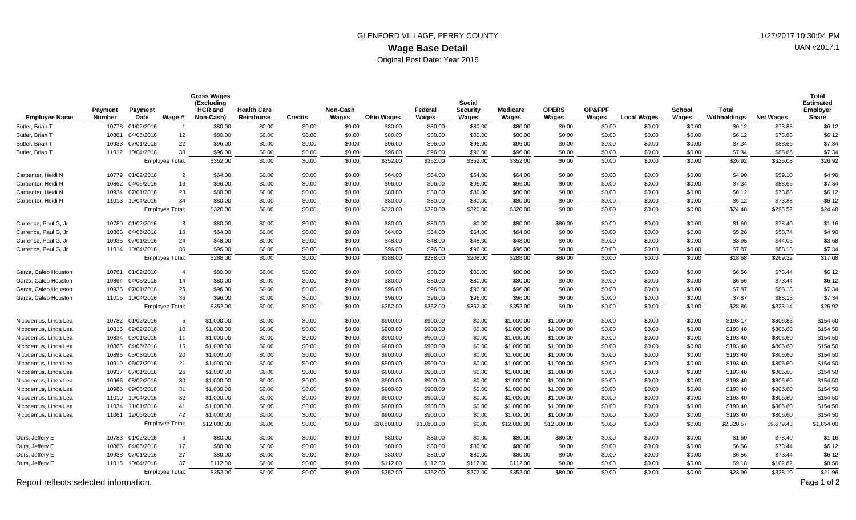## **Wage Base Detail** GLENFORD VILLAGE, PERRY COUNTY **1/27/2017** 10:30:04 PM Original Post Date: Year 2016

| <b>Employee Name</b>                  | Payment<br><b>Number</b> | Payment<br>Date        | Wage #                 | <b>Gross Wages</b><br>(Excluding<br>HCR and<br>Non-Cash) | <b>Health Care</b><br>Reimburse | <b>Credits</b> | Non-Cash<br>Wages | <b>Ohio Wages</b> | Federal<br>Wages | Social<br>Security<br>Wages | <b>Medicare</b><br>Wages | <b>OPERS</b><br>Wages | OP&FPF<br>Wages | <b>Local Wages</b> | School<br>Wages | <b>Total</b><br>Withholdings | <b>Net Wages</b> | Total<br><b>Estimated</b><br>Employer<br><b>Share</b> |
|---------------------------------------|--------------------------|------------------------|------------------------|----------------------------------------------------------|---------------------------------|----------------|-------------------|-------------------|------------------|-----------------------------|--------------------------|-----------------------|-----------------|--------------------|-----------------|------------------------------|------------------|-------------------------------------------------------|
| Butler, Brian 1                       | 10778                    | 01/02/2016             |                        | \$80.00                                                  | \$0.00                          | \$0.00         | \$0.00            | \$80.00           | \$80.00          | \$80.00                     | \$80.00                  | \$0.00                | \$0.00          | \$0.00             | \$0.00          | \$6.12                       | \$73.88          | \$6.12                                                |
| Butler, Brian T                       | 10861                    | 04/05/2016             | 12                     | \$80.00                                                  | \$0.00                          | \$0.00         | \$0.00            | \$80.00           | \$80.00          | \$80.00                     | \$80.00                  | \$0.00                | \$0.00          | \$0.00             | \$0.00          | \$6.12                       | \$73.88          | \$6.12                                                |
| Butler, Brian T                       | 10933                    | 07/01/2016             | 22                     | \$96.00                                                  | \$0.00                          | \$0.00         | \$0.00            | \$96.00           | \$96.00          | \$96.00                     | \$96.00                  | \$0.00                | \$0.00          | \$0.00             | \$0.00          | \$7.34                       | \$88.66          | \$7.34                                                |
| Butler, Brian T                       |                          | 11012 10/04/2016       | 33                     | \$96.00                                                  | \$0.00                          | \$0.00         | \$0.00            | \$96.00           | \$96.00          | \$96.00                     | \$96.00                  | \$0.00                | \$0.00          | \$0.00             | \$0.00          | \$7.34                       | \$88.66          | \$7.34                                                |
|                                       |                          |                        | <b>Employee Total:</b> | \$352.00                                                 | \$0.00                          | \$0.00         | \$0.00            | \$352.00          | \$352.00         | \$352.00                    | \$352.00                 | \$0.00                | \$0.00          | \$0.00             | \$0.00          | \$26.92                      | \$325.08         | \$26.92                                               |
| Carpenter, Heidi N                    |                          | 10779 01/02/2016       | $\overline{2}$         | \$64.00                                                  | \$0.00                          | \$0.00         | \$0.00            | \$64.00           | \$64.00          | \$64.00                     | \$64.00                  | \$0.00                | \$0.00          | \$0.00             | \$0.00          | \$4.90                       | \$59.10          | \$4.90                                                |
| Carpenter, Heidi N                    | 10862                    | 04/05/2016             | 13                     | \$96.00                                                  | \$0.00                          | \$0.00         | \$0.00            | \$96.00           | \$96.00          | \$96.00                     | \$96.00                  | \$0.00                | \$0.00          | \$0.00             | \$0.00          | \$7.34                       | \$88.66          | \$7.34                                                |
| Carpenter, Heidi N                    | 10934                    | 07/01/2016             | 23                     | \$80.00                                                  | \$0.00                          | \$0.00         | \$0.00            | \$80.00           | \$80.00          | \$80.00                     | \$80.00                  | \$0.00                | \$0.00          | \$0.00             | \$0.00          | \$6.12                       | \$73.88          | \$6.12                                                |
| Carpenter, Heidi N                    |                          | 11013 10/04/2016       | 34                     | \$80.00                                                  | \$0.00                          | \$0.00         | \$0.00            | \$80.00           | \$80.00          | \$80.00                     | \$80.00                  | \$0.00                | \$0.00          | \$0.00             | \$0.00          | \$6.12                       | \$73.88          | \$6.12                                                |
|                                       |                          | <b>Employee Total:</b> |                        | \$320.00                                                 | \$0.00                          | \$0.00         | \$0.00            | \$320.00          | \$320.00         | \$320.00                    | \$320.00                 | \$0.00                | \$0.00          | \$0.00             | \$0.00          | \$24.48                      | \$295.52         | \$24.48                                               |
| Currence, Paul G, Jr                  |                          | 10780 01/02/2016       | 3                      | \$80.00                                                  | \$0.00                          | \$0.00         | \$0.00            | \$80.00           | \$80.00          | \$0.00                      | \$80.00                  | \$80.00               | \$0.00          | \$0.00             | \$0.00          | \$1.60                       | \$78.40          | \$1.16                                                |
| Currence, Paul G, Jr                  | 10863                    | 04/05/2016             | 16                     | \$64.00                                                  | \$0.00                          | \$0.00         | \$0.00            | \$64.00           | \$64.00          | \$64.00                     | \$64.00                  | \$0.00                | \$0.00          | \$0.00             | \$0.00          | \$5.26                       | \$58.74          | \$4.90                                                |
| Currence, Paul G, Jr                  | 10935                    | 07/01/2016             | 24                     | \$48.00                                                  | \$0.00                          | \$0.00         | \$0.00            | \$48.00           | \$48.00          | \$48.00                     | \$48.00                  | \$0.00                | \$0.00          | \$0.00             | \$0.00          | \$3.95                       | \$44.05          | \$3.68                                                |
| Currence, Paul G, Jr                  |                          | 11014 10/04/2016       | 35                     | \$96.00                                                  | \$0.00                          | \$0.00         | \$0.00            | \$96.00           | \$96.00          | \$96.00                     | \$96.00                  | \$0.00                | \$0.00          | \$0.00             | \$0.00          | \$7.87                       | \$88.13          | \$7.34                                                |
|                                       | Employee Total:          |                        | \$288.00               | \$0.00                                                   | \$0.00                          | \$0.00         | \$288.00          | \$288.00          | \$208.00         | \$288.00                    | \$80.00                  | \$0.00                | \$0.00          | \$0.00             | \$18.68         | \$269.32                     | \$17.08          |                                                       |
| Garza, Caleb Houston                  |                          | 10781 01/02/2016       | $\overline{4}$         | \$80.00                                                  | \$0.00                          | \$0.00         | \$0.00            | \$80.00           | \$80.00          | \$80.00                     | \$80.00                  | \$0.00                | \$0.00          | \$0.00             | \$0.00          | \$6.56                       | \$73.44          | \$6.12                                                |
| Garza, Caleb Houston                  | 10864                    | 04/05/2016             | 14                     | \$80.00                                                  | \$0.00                          | \$0.00         | \$0.00            | \$80.00           | \$80.00          | \$80.00                     | \$80.00                  | \$0.00                | \$0.00          | \$0.00             | \$0.00          | \$6.56                       | \$73.44          | \$6.12                                                |
| Garza, Caleb Houston                  | 10936                    | 07/01/2016             | 25                     | \$96.00                                                  | \$0.00                          | \$0.00         | \$0.00            | \$96.00           | \$96.00          | \$96.00                     | \$96.00                  | \$0.00                | \$0.00          | \$0.00             | \$0.00          | \$7.87                       | \$88.13          | \$7.34                                                |
| Garza, Caleb Houston                  |                          | 11015 10/04/2016       | 36                     | \$96.00                                                  | \$0.00                          | \$0.00         | \$0.00            | \$96.00           | \$96.00          | \$96.00                     | \$96.00                  | \$0.00                | \$0.00          | \$0.00             | \$0.00          | \$7.87                       | \$88.13          | \$7.34                                                |
|                                       | <b>Employee Total:</b>   |                        |                        | \$352.00                                                 | \$0.00                          | \$0.00         | \$0.00            | \$352.00          | \$352.00         | \$352.00                    | \$352.00                 | \$0.00                | \$0.00          | \$0.00             | \$0.00          | \$28.86                      | \$323.14         | \$26.92                                               |
| Nicodemus, Linda Lea                  |                          | 10782 01/02/2016       | 5                      | \$1,000.00                                               | \$0.00                          | \$0.00         | \$0.00            | \$900.00          | \$900.00         | \$0.00                      | \$1,000.00               | \$1,000.00            | \$0.00          | \$0.00             | \$0.00          | \$193.17                     | \$806.83         | \$154.50                                              |
| Nicodemus, Linda Lea                  | 10815                    | 02/02/2016             | 10                     | \$1,000.00                                               | \$0.00                          | \$0.00         | \$0.00            | \$900.00          | \$900.00         | \$0.00                      | \$1,000.00               | \$1,000.00            | \$0.00          | \$0.00             | \$0.00          | \$193.40                     | \$806.60         | \$154.50                                              |
| Nicodemus, Linda Lea                  | 10834                    | 03/01/2016             | 11                     | \$1,000.00                                               | \$0.00                          | \$0.00         | \$0.00            | \$900.00          | \$900.00         | \$0.00                      | \$1,000.00               | \$1,000.00            | \$0.00          | \$0.00             | \$0.00          | \$193.40                     | \$806.60         | \$154.50                                              |
| Nicodemus, Linda Lea                  | 10865                    | 04/05/2016             | 15                     | \$1,000.00                                               | \$0.00                          | \$0.00         | \$0.00            | \$900.00          | \$900.00         | \$0.00                      | \$1,000.00               | \$1,000.00            | \$0.00          | \$0.00             | \$0.00          | \$193.40                     | \$806.60         | \$154.50                                              |
| Nicodemus, Linda Lea                  | 10896                    | 05/03/2016             | 20                     | \$1,000.00                                               | \$0.00                          | \$0.00         | \$0.00            | \$900.00          | \$900.00         | \$0.00                      | \$1,000.00               | \$1,000.00            | \$0.00          | \$0.00             | \$0.00          | \$193.40                     | \$806.60         | \$154.50                                              |
| Nicodemus, Linda Lea                  |                          | 10919 06/07/2016       | 21                     | \$1,000.00                                               | \$0.00                          | \$0.00         | \$0.00            | \$900.00          | \$900.00         | \$0.00                      | \$1,000.00               | \$1,000.00            | \$0.00          | \$0.00             | \$0.00          | \$193.40                     | \$806.60         | \$154.50                                              |
| Nicodemus, Linda Lea                  |                          | 10937 07/01/2016       | 26                     | \$1,000.00                                               | \$0.00                          | \$0.00         | \$0.00            | \$900.00          | \$900.00         | \$0.00                      | \$1,000.00               | \$1,000.00            | \$0.00          | \$0.00             | \$0.00          | \$193.40                     | \$806.60         | \$154.50                                              |
| Nicodemus, Linda Lea                  | 10966                    | 08/02/2016             | 30                     | \$1,000.00                                               | \$0.00                          | \$0.00         | \$0.00            | \$900.00          | \$900.00         | \$0.00                      | \$1,000.00               | \$1,000.00            | \$0.00          | \$0.00             | \$0.00          | \$193.40                     | \$806.60         | \$154.50                                              |
| Nicodemus, Linda Lea                  | 10986                    | 09/06/2016             | 31                     | \$1,000.00                                               | \$0.00                          | \$0.00         | \$0.00            | \$900.00          | \$900.00         | \$0.00                      | \$1,000.00               | \$1,000.00            | \$0.00          | \$0.00             | \$0.00          | \$193.40                     | \$806.60         | \$154.50                                              |
| Nicodemus, Linda Lea                  | 11010                    | 10/04/2016             | 32                     | \$1,000.00                                               | \$0.00                          | \$0.00         | \$0.00            | \$900.00          | \$900.00         | \$0.00                      | \$1,000.00               | \$1,000.00            | \$0.00          | \$0.00             | \$0.00          | \$193.40                     | \$806.60         | \$154.50                                              |
| Nicodemus, Linda Lea                  | 11034                    | 11/01/2016             | 41                     | \$1,000.00                                               | \$0.00                          | \$0.00         | \$0.00            | \$900.00          | \$900.00         | \$0.00                      | \$1,000.00               | \$1,000.00            | \$0.00          | \$0.00             | \$0.00          | \$193.40                     | \$806.60         | \$154.50                                              |
| Nicodemus, Linda Lea                  |                          | 11061 12/06/2016       | 42                     | \$1,000.00                                               | \$0.00                          | \$0.00         | \$0.00            | \$900.00          | \$900.00         | \$0.00                      | \$1,000.00               | \$1,000.00            | \$0.00          | \$0.00             | \$0.00          | \$193.40                     | \$806.60         | \$154.50                                              |
|                                       | <b>Employee Total:</b>   |                        |                        | \$12,000.00                                              | \$0.00                          | \$0.00         | \$0.00            | \$10,800.00       | \$10,800.00      | \$0.00                      | \$12,000.00              | \$12,000.00           | \$0.00          | \$0.00             | \$0.00          | \$2,320.57                   | \$9,679.43       | \$1,854.00                                            |
| Ours, Jeffery E                       |                          | 10783 01/02/2016       | 6                      | \$80.00                                                  | \$0.00                          | \$0.00         | \$0.00            | \$80.00           | \$80.00          | \$0.00                      | \$80.00                  | \$80.00               | \$0.00          | \$0.00             | \$0.00          | \$1.60                       | \$78.40          | \$1.16                                                |
| Ours, Jeffery E                       | 10866                    | 04/05/2016             | 17                     | \$80.00                                                  | \$0.00                          | \$0.00         | \$0.00            | \$80.00           | \$80.00          | \$80.00                     | \$80.00                  | \$0.00                | \$0.00          | \$0.00             | \$0.00          | \$6.56                       | \$73.44          | \$6.12                                                |
| Ours, Jeffery E                       | 10938                    | 07/01/2016             | 27                     | \$80.00                                                  | \$0.00                          | \$0.00         | \$0.00            | \$80.00           | \$80.00          | \$80.00                     | \$80.00                  | \$0.00                | \$0.00          | \$0.00             | \$0.00          | \$6.56                       | \$73.44          | \$6.12                                                |
| Ours, Jeffery E                       |                          | 11016 10/04/2016       | 37                     | \$112.00                                                 | \$0.00                          | \$0.00         | \$0.00            | \$112.00          | \$112.00         | \$112.00                    | \$112.00                 | \$0.00                | \$0.00          | \$0.00             | \$0.00          | \$9.18                       | \$102.82         | \$8.56                                                |
|                                       |                          |                        | <b>Employee Total:</b> | \$352.00                                                 | \$0.00                          | \$0.00         | \$0.00            | \$352.00          | \$352.00         | \$272.00                    | \$352.00                 | \$80.00               | \$0.00          | \$0.00             | \$0.00          | \$23.90                      | \$328.10         | \$21.96                                               |
| Report reflects selected information. |                          |                        |                        |                                                          |                                 |                |                   |                   |                  |                             |                          |                       |                 |                    |                 | Page 1 of 2                  |                  |                                                       |